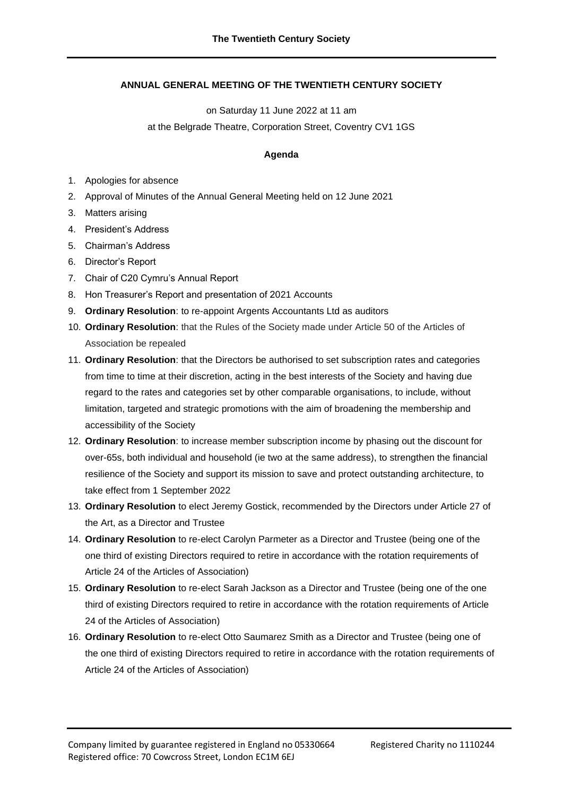## **ANNUAL GENERAL MEETING OF THE TWENTIETH CENTURY SOCIETY**

on Saturday 11 June 2022 at 11 am

at the Belgrade Theatre, Corporation Street, Coventry CV1 1GS

## **Agenda**

- 1. Apologies for absence
- 2. Approval of Minutes of the Annual General Meeting held on 12 June 2021
- 3. Matters arising
- 4. President's Address
- 5. Chairman's Address
- 6. Director's Report
- 7. Chair of C20 Cymru's Annual Report
- 8. Hon Treasurer's Report and presentation of 2021 Accounts
- 9. **Ordinary Resolution**: to re-appoint Argents Accountants Ltd as auditors
- 10. **Ordinary Resolution**: that the Rules of the Society made under Article 50 of the Articles of Association be repealed
- 11. **Ordinary Resolution**: that the Directors be authorised to set subscription rates and categories from time to time at their discretion, acting in the best interests of the Society and having due regard to the rates and categories set by other comparable organisations, to include, without limitation, targeted and strategic promotions with the aim of broadening the membership and accessibility of the Society
- 12. **Ordinary Resolution**: to increase member subscription income by phasing out the discount for over-65s, both individual and household (ie two at the same address), to strengthen the financial resilience of the Society and support its mission to save and protect outstanding architecture, to take effect from 1 September 2022
- 13. **Ordinary Resolution** to elect Jeremy Gostick, recommended by the Directors under Article 27 of the Art, as a Director and Trustee
- 14. **Ordinary Resolution** to re-elect Carolyn Parmeter as a Director and Trustee (being one of the one third of existing Directors required to retire in accordance with the rotation requirements of Article 24 of the Articles of Association)
- 15. **Ordinary Resolution** to re-elect Sarah Jackson as a Director and Trustee (being one of the one third of existing Directors required to retire in accordance with the rotation requirements of Article 24 of the Articles of Association)
- 16. **Ordinary Resolution** to re-elect Otto Saumarez Smith as a Director and Trustee (being one of the one third of existing Directors required to retire in accordance with the rotation requirements of Article 24 of the Articles of Association)